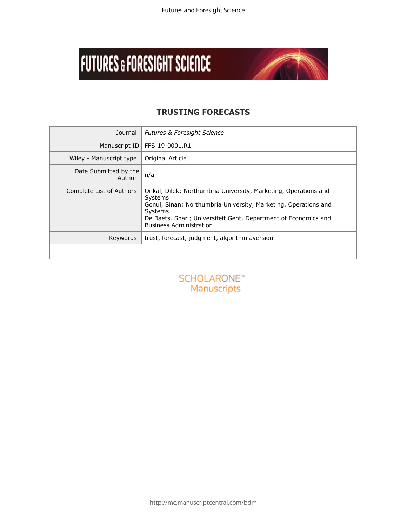# **FUTURES & FORESIGHT SCIENCE**



# **TRUSTING FORECASTS**

| Journal:                         | <b>Futures &amp; Foresight Science</b>                                                                                                                                                                                                                        |
|----------------------------------|---------------------------------------------------------------------------------------------------------------------------------------------------------------------------------------------------------------------------------------------------------------|
| Manuscript ID                    | FFS-19-0001.R1                                                                                                                                                                                                                                                |
| Wiley - Manuscript type:         | Original Article                                                                                                                                                                                                                                              |
| Date Submitted by the<br>Author: | n/a                                                                                                                                                                                                                                                           |
| Complete List of Authors:        | Onkal, Dilek; Northumbria University, Marketing, Operations and<br>Systems<br>Gonul, Sinan; Northumbria University, Marketing, Operations and<br>Systems<br>De Baets, Shari; Universiteit Gent, Department of Economics and<br><b>Business Administration</b> |
| Keywords:                        | trust, forecast, judgment, algorithm aversion                                                                                                                                                                                                                 |
|                                  |                                                                                                                                                                                                                                                               |
|                                  | SCHOLARONE <sup>*</sup><br>Manuscripts                                                                                                                                                                                                                        |
|                                  |                                                                                                                                                                                                                                                               |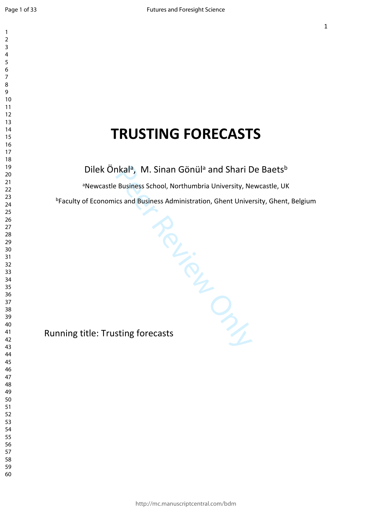$\mathbf{1}$  $\overline{2}$  $\overline{3}$  $\overline{4}$  $\overline{7}$ 

# **TRUSTING FORECASTS**

Dilek Önkal<sup>a</sup>, M. Sinan Gönül<sup>a</sup> and Shari De Baets<sup>b</sup>

<sup>a</sup>Newcastle Business School, Northumbria University, Newcastle, UK

<sup>b</sup>Faculty of Economics and Business Administration, Ghent University, Ghent, Belgium

Per City<br>Review Only Running title: Trusting forecasts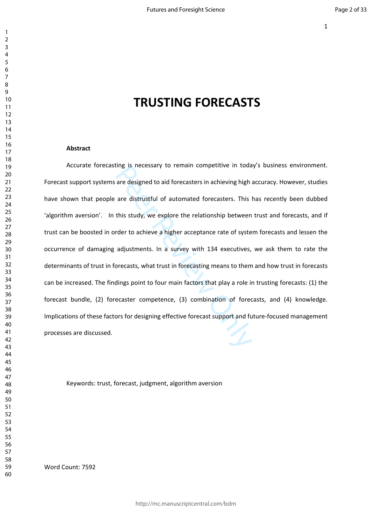# **TRUSTING FORECASTS**

#### **Abstract**

are designed to aid forecasters in achieving high a<br>are designed to aid forecasters in achieving high a<br>are distrustful of automated forecasters. This I<br>this study, we explore the relationship between<br>rder to achieve a hig Accurate forecasting is necessary to remain competitive in today's business environment. Forecast support systems are designed to aid forecasters in achieving high accuracy. However, studies have shown that people are distrustful of automated forecasters. This has recently been dubbed 'algorithm aversion'. In this study, we explore the relationship between trust and forecasts, and if trust can be boosted in order to achieve a higher acceptance rate of system forecasts and lessen the occurrence of damaging adjustments. In a survey with 134 executives, we ask them to rate the determinants of trust in forecasts, what trust in forecasting means to them and how trust in forecasts can be increased. The findings point to four main factors that play a role in trusting forecasts: (1) the forecast bundle, (2) forecaster competence, (3) combination of forecasts, and (4) knowledge. Implications of these factors for designing effective forecast support and future-focused management processes are discussed.

Keywords: trust, forecast, judgment, algorithm aversion

Word Count: 7592

 $\mathbf{1}$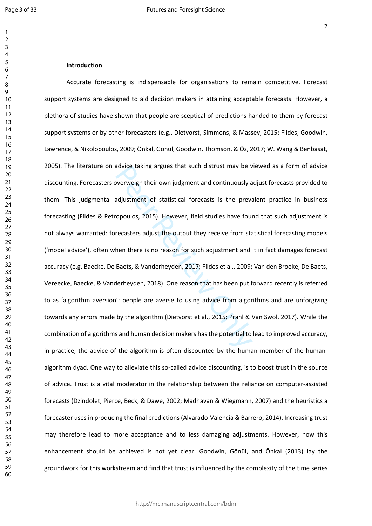$\mathbf{1}$  $\overline{2}$  $\overline{4}$  $\overline{7}$  $\mathsf{Q}$ 

#### **Introduction**

adjustment of statistical forecasts is the prevailing argues that such distrust may be v<br>adjustment of statistical forecasts is the prevailing previors opoulos, 2015). However, field studies have four<br>recasters adjust the Accurate forecasting is indispensable for organisations to remain competitive. Forecast support systems are designed to aid decision makers in attaining acceptable forecasts. However, a plethora of studies have shown that people are sceptical of predictions handed to them by forecast support systems or by other forecasters (e.g., Dietvorst, Simmons, & Massey, 2015; Fildes, Goodwin, Lawrence, & Nikolopoulos, 2009; Önkal, Gönül, Goodwin, Thomson, & Öz, 2017; W. Wang & Benbasat, 2005). The literature on advice taking argues that such distrust may be viewed as a form of advice discounting. Forecasters overweigh their own judgment and continuously adjust forecasts provided to them. This judgmental adjustment of statistical forecasts is the prevalent practice in business forecasting (Fildes & Petropoulos, 2015). However, field studies have found that such adjustment is not always warranted: forecasters adjust the output they receive from statistical forecasting models ('model advice'), often when there is no reason for such adjustment and it in fact damages forecast accuracy (e.g, Baecke, De Baets, & Vanderheyden, 2017; Fildes et al., 2009; Van den Broeke, De Baets, Vereecke, Baecke, & Vanderheyden, 2018). One reason that has been put forward recently is referred to as 'algorithm aversion': people are averse to using advice from algorithms and are unforgiving towards any errors made by the algorithm (Dietvorst et al., 2015; Prahl & Van Swol, 2017). While the combination of algorithms and human decision makers has the potential to lead to improved accuracy, in practice, the advice of the algorithm is often discounted by the human member of the humanalgorithm dyad. One way to alleviate this so-called advice discounting, is to boost trust in the source of advice. Trust is a vital moderator in the relationship between the reliance on computer-assisted forecasts (Dzindolet, Pierce, Beck, & Dawe, 2002; Madhavan & Wiegmann, 2007) and the heuristics a forecaster uses in producing the final predictions (Alvarado-Valencia & Barrero, 2014). Increasing trust may therefore lead to more acceptance and to less damaging adjustments. However, how this enhancement should be achieved is not yet clear. Goodwin, Gönül, and Önkal (2013) lay the groundwork for this workstream and find that trust is influenced by the complexity of the time series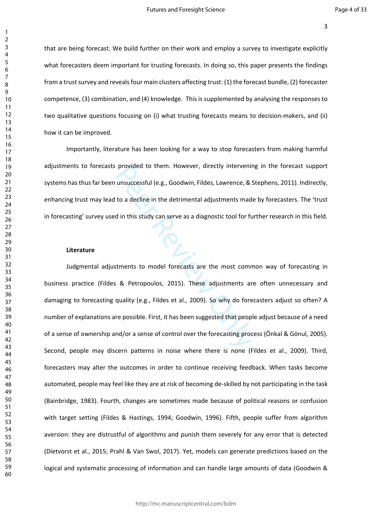that are being forecast. We build further on their work and employ a survey to investigate explicitly what forecasters deem important for trusting forecasts. In doing so, this paper presents the findings from a trust survey and reveals four main clusters affecting trust: (1) the forecast bundle, (2) forecaster competence, (3) combination, and (4) knowledge. This is supplemented by analysing the responses to two qualitative questions focusing on (i) what trusting forecasts means to decision-makers, and (ii) how it can be improved.

Importantly, literature has been looking for a way to stop forecasters from making harmful adjustments to forecasts provided to them. However, directly intervening in the forecast support systems has thus far been unsuccessful (e.g., Goodwin, Fildes, Lawrence, & Stephens, 2011). Indirectly, enhancing trust may lead to a decline in the detrimental adjustments made by forecasters. The 'trust in forecasting' survey used in this study can serve as a diagnostic tool for further research in this field.

#### **Literature**

provided to them. However, directly interveninty<br>unsuccessful (e.g., Goodwin, Fildes, Lawrence, & !<br>to a decline in the detrimental adjustments mad<br>d in this study can serve as a diagnostic tool for fu<br>stments to model for Judgmental adjustments to model forecasts are the most common way of forecasting in business practice (Fildes & Petropoulos, 2015). These adjustments are often unnecessary and damaging to forecasting quality (e.g., Fildes et al., 2009). So why do forecasters adjust so often? A number of explanations are possible. First, it has been suggested that people adjust because of a need of a sense of ownership and/or a sense of control over the forecasting process (Önkal & Gönul, 2005). Second, people may discern patterns in noise where there is none (Fildes et al., 2009). Third, forecasters may alter the outcomes in order to continue receiving feedback. When tasks become automated, people may feel like they are at risk of becoming de-skilled by not participating in the task (Bainbridge, 1983). Fourth, changes are sometimes made because of political reasons or confusion with target setting (Fildes & Hastings, 1994; Goodwin, 1996). Fifth, people suffer from algorithm aversion: they are distrustful of algorithms and punish them severely for any error that is detected (Dietvorst et al., 2015; Prahl & Van Swol, 2017). Yet, models can generate predictions based on the logical and systematic processing of information and can handle large amounts of data (Goodwin &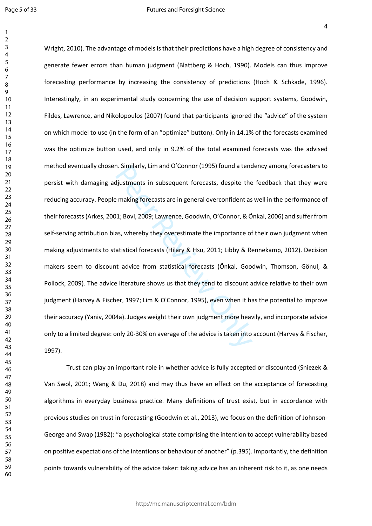$\mathbf{1}$  $\overline{2}$ 

n. Similarly, Lim and O'Connor (1995) found a tend<br>djustments in subsequent forecasts, despite the<br>e making forecasts are in general overconfident as<br>11; Bovi, 2009; Lawrence, Goodwin, O'Connor, & Ö<br>as, whereby they overes Wright, 2010). The advantage of models is that their predictions have a high degree of consistency and generate fewer errors than human judgment (Blattberg & Hoch, 1990). Models can thus improve forecasting performance by increasing the consistency of predictions (Hoch & Schkade, 1996). Interestingly, in an experimental study concerning the use of decision support systems, Goodwin, Fildes, Lawrence, and Nikolopoulos (2007) found that participants ignored the "advice" of the system on which model to use (in the form of an "optimize" button). Only in 14.1% of the forecasts examined was the optimize button used, and only in 9.2% of the total examined forecasts was the advised method eventually chosen. Similarly, Lim and O'Connor (1995) found a tendency among forecasters to persist with damaging adjustments in subsequent forecasts, despite the feedback that they were reducing accuracy. People making forecasts are in general overconfident as well in the performance of their forecasts (Arkes, 2001; Bovi, 2009; Lawrence, Goodwin, O'Connor, & Önkal, 2006) and suffer from self-serving attribution bias, whereby they overestimate the importance of their own judgment when making adjustments to statistical forecasts (Hilary & Hsu, 2011; Libby & Rennekamp, 2012). Decision makers seem to discount advice from statistical forecasts (Önkal, Goodwin, Thomson, Gönul, & Pollock, 2009). The advice literature shows us that they tend to discount advice relative to their own judgment (Harvey & Fischer, 1997; Lim & O'Connor, 1995), even when it has the potential to improve their accuracy (Yaniv, 2004a). Judges weight their own judgment more heavily, and incorporate advice only to a limited degree: only 20-30% on average of the advice is taken into account (Harvey & Fischer, 1997).

Trust can play an important role in whether advice is fully accepted or discounted (Sniezek & Van Swol, 2001; Wang & Du, 2018) and may thus have an effect on the acceptance of forecasting algorithms in everyday business practice. Many definitions of trust exist, but in accordance with previous studies on trust in forecasting (Goodwin et al., 2013), we focus on the definition of Johnson-George and Swap (1982): "a psychological state comprising the intention to accept vulnerability based on positive expectations of the intentions or behaviour of another" (p.395). Importantly, the definition points towards vulnerability of the advice taker: taking advice has an inherent risk to it, as one needs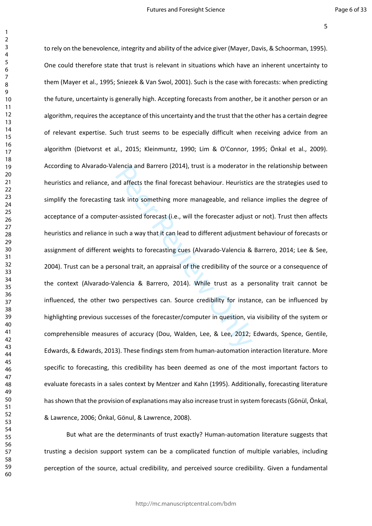$\mathbf{1}$ 

rencia and Barrero (2014), trust is a moderator in<br>and affects the final forecast behaviour. Heuristics<br>ask into something more manageable, and relia<br>r-assisted forecast (i.e., will the forecaster adjust<br>such a way that it to rely on the benevolence, integrity and ability of the advice giver (Mayer, Davis, & Schoorman, 1995). One could therefore state that trust is relevant in situations which have an inherent uncertainty to them (Mayer et al., 1995; Sniezek & Van Swol, 2001). Such is the case with forecasts: when predicting the future, uncertainty is generally high. Accepting forecasts from another, be it another person or an algorithm, requires the acceptance of this uncertainty and the trust that the other has a certain degree of relevant expertise. Such trust seems to be especially difficult when receiving advice from an algorithm (Dietvorst et al., 2015; Kleinmuntz, 1990; Lim & O'Connor, 1995; Önkal et al., 2009). According to Alvarado-Valencia and Barrero (2014), trust is a moderator in the relationship between heuristics and reliance, and affects the final forecast behaviour. Heuristics are the strategies used to simplify the forecasting task into something more manageable, and reliance implies the degree of acceptance of a computer-assisted forecast (i.e., will the forecaster adjust or not). Trust then affects heuristics and reliance in such a way that it can lead to different adjustment behaviour of forecasts or assignment of different weights to forecasting cues (Alvarado-Valencia & Barrero, 2014; Lee & See, 2004). Trust can be a personal trait, an appraisal of the credibility of the source or a consequence of the context (Alvarado-Valencia & Barrero, 2014). While trust as a personality trait cannot be influenced, the other two perspectives can. Source credibility for instance, can be influenced by highlighting previous successes of the forecaster/computer in question, via visibility of the system or comprehensible measures of accuracy (Dou, Walden, Lee, & Lee, 2012; Edwards, Spence, Gentile, Edwards, & Edwards, 2013). These findings stem from human-automation interaction literature. More specific to forecasting, this credibility has been deemed as one of the most important factors to evaluate forecasts in a sales context by Mentzer and Kahn (1995). Additionally, forecasting literature has shown that the provision of explanations may also increase trust in system forecasts (Gönül, Önkal, & Lawrence, 2006; Önkal, Gönul, & Lawrence, 2008).

But what are the determinants of trust exactly? Human-automation literature suggests that trusting a decision support system can be a complicated function of multiple variables, including perception of the source, actual credibility, and perceived source credibility. Given a fundamental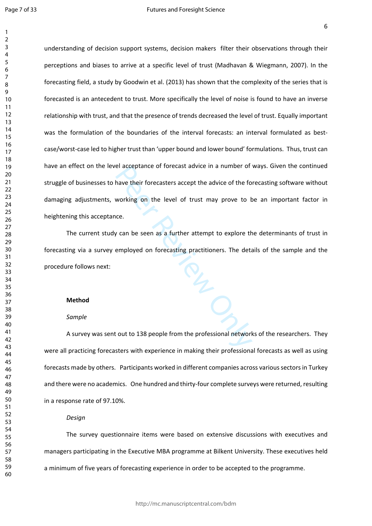$\mathbf{1}$ 

el acceptance of forecast advice in a number of<br>have their forecasters accept the advice of the fo<br>working on the level of trust may prove to b<br>ice.<br> $\chi$  can be seen as a further attempt to explore the<br>employed on forecast understanding of decision support systems, decision makers filter their observations through their perceptions and biases to arrive at a specific level of trust (Madhavan & Wiegmann, 2007). In the forecasting field, a study by Goodwin et al. (2013) has shown that the complexity of the series that is forecasted is an antecedent to trust. More specifically the level of noise is found to have an inverse relationship with trust, and that the presence of trends decreased the level of trust. Equally important was the formulation of the boundaries of the interval forecasts: an interval formulated as bestcase/worst-case led to higher trust than 'upper bound and lower bound' formulations. Thus, trust can have an effect on the level acceptance of forecast advice in a number of ways. Given the continued struggle of businesses to have their forecasters accept the advice of the forecasting software without damaging adjustments, working on the level of trust may prove to be an important factor in heightening this acceptance.

The current study can be seen as a further attempt to explore the determinants of trust in forecasting via a survey employed on forecasting practitioners. The details of the sample and the procedure follows next:

#### **Method**

#### *Sample*

A survey was sent out to 138 people from the professional networks of the researchers. They were all practicing forecasters with experience in making their professional forecasts as well as using forecasts made by others. Participants worked in different companies across various sectors in Turkey and there were no academics. One hundred and thirty-four complete surveys were returned, resulting in a response rate of 97.10%.

#### *Design*

The survey questionnaire items were based on extensive discussions with executives and managers participating in the Executive MBA programme at Bilkent University. These executives held a minimum of five years of forecasting experience in order to be accepted to the programme.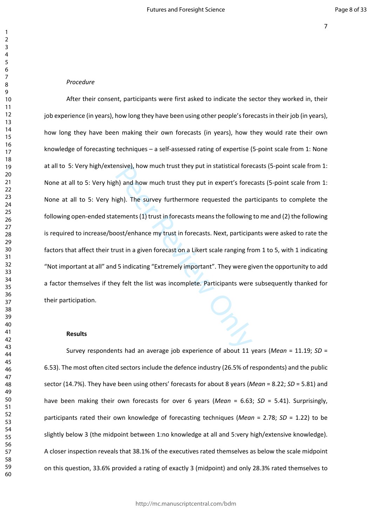#### *Procedure*

msive), now much trust they put in statistical fore<br>
h) and how much trust they put in expert's fored<br>
igh). The survey furthermore requested the pair<br>
tements (1) trust in forecasts means the following<br>
nost/enhance my tr After their consent, participants were first asked to indicate the sector they worked in, their job experience (in years), how long they have been using other people's forecasts in their job (in years), how long they have been making their own forecasts (in years), how they would rate their own knowledge of forecasting techniques – a self-assessed rating of expertise (5-point scale from 1: None at all to 5: Very high/extensive), how much trust they put in statistical forecasts (5-point scale from 1: None at all to 5: Very high) and how much trust they put in expert's forecasts (5-point scale from 1: None at all to 5: Very high). The survey furthermore requested the participants to complete the following open-ended statements (1) trust in forecasts means the following to me and (2) the following is required to increase/boost/enhance my trust in forecasts. Next, participants were asked to rate the factors that affect their trust in a given forecast on a Likert scale ranging from 1 to 5, with 1 indicating "Not important at all" and 5 indicating "Extremely important". They were given the opportunity to add a factor themselves if they felt the list was incomplete. Participants were subsequently thanked for their participation.

#### **Results**

Survey respondents had an average job experience of about 11 years (*Mean* = 11.19; *SD* = 6.53). The most often cited sectors include the defence industry (26.5% of respondents) and the public sector (14.7%). They have been using others' forecasts for about 8 years (*Mean* = 8.22; *SD* = 5.81) and have been making their own forecasts for over 6 years (*Mean* = 6.63; *SD* = 5.41). Surprisingly, participants rated their own knowledge of forecasting techniques (*Mean* = 2.78; *SD* = 1.22) to be slightly below 3 (the midpoint between 1:no knowledge at all and 5:very high/extensive knowledge). A closer inspection reveals that 38.1% of the executives rated themselves as below the scale midpoint on this question, 33.6% provided a rating of exactly 3 (midpoint) and only 28.3% rated themselves to

 $\mathbf{1}$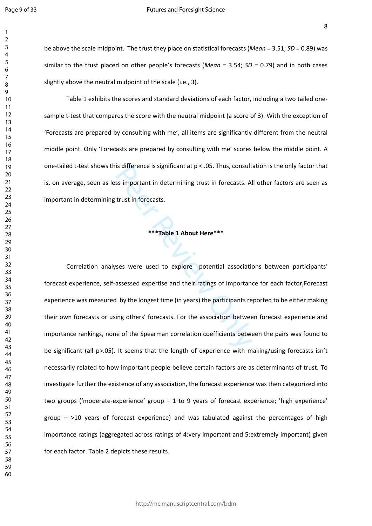$\mathbf{1}$  $\overline{2}$  $\overline{3}$  $\overline{4}$  $\overline{7}$  $\mathsf{Q}$ 

be above the scale midpoint. The trust they place on statistical forecasts (*Mean* = 3.51; *SD* = 0.89) was similar to the trust placed on other people's forecasts (*Mean* = 3.54; *SD* = 0.79) and in both cases slightly above the neutral midpoint of the scale (i.e., 3).

Table 1 exhibits the scores and standard deviations of each factor, including a two tailed onesample t-test that compares the score with the neutral midpoint (a score of 3). With the exception of 'Forecasts are prepared by consulting with me', all items are significantly different from the neutral middle point. Only 'Forecasts are prepared by consulting with me' scores below the middle point. A one-tailed t-test shows this difference is significant at p < .05. Thus, consultation is the only factor that is, on average, seen as less important in determining trust in forecasts. All other factors are seen as important in determining trust in forecasts.

#### **\*\*\*Table 1 About Here\*\*\***

Is difference is significant at  $p < .0$ s. Thus, consult<br>ss important in determining trust in forecasts. Al<br>trust in forecasts.<br>\*\*\*Table 1 About Here\*\*\*<br>Ses were used to explore potential association<br>assessed expertise and Correlation analyses were used to explore potential associations between participants' forecast experience, self-assessed expertise and their ratings of importance for each factor,Forecast experience was measured by the longest time (in years) the participants reported to be either making their own forecasts or using others' forecasts. For the association between forecast experience and importance rankings, none of the Spearman correlation coefficients between the pairs was found to be significant (all p>.05). It seems that the length of experience with making/using forecasts isn't necessarily related to how important people believe certain factors are as determinants of trust. To investigate further the existence of any association, the forecast experience was then categorized into two groups ('moderate-experience' group – 1 to 9 years of forecast experience; 'high experience' group  $\geq$ 10 years of forecast experience) and was tabulated against the percentages of high importance ratings (aggregated across ratings of 4:very important and 5:extremely important) given for each factor. Table 2 depicts these results.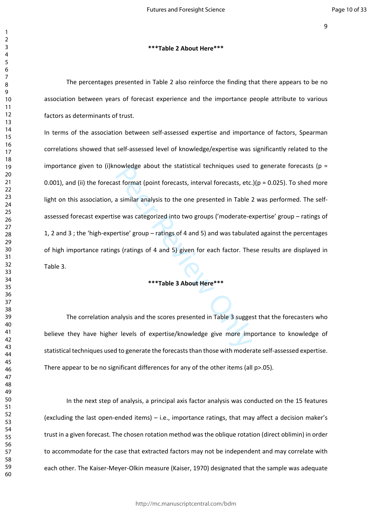#### **\*\*\*Table 2 About Here\*\*\***

The percentages presented in Table 2 also reinforce the finding that there appears to be no association between years of forecast experience and the importance people attribute to various factors as determinants of trust.

nowleage about the statistical techniques used<br>st format (point forecasts, interval forecasts, etc.<br>a similar analysis to the one presented in Table 2<br>se was categorized into two groups ('moderate-e:<br>ertise' group – rating In terms of the association between self-assessed expertise and importance of factors, Spearman correlations showed that self-assessed level of knowledge/expertise was significantly related to the importance given to (i)knowledge about the statistical techniques used to generate forecasts ( $p =$ 0.001), and (ii) the forecast format (point forecasts, interval forecasts, etc.)( $p = 0.025$ ). To shed more light on this association, a similar analysis to the one presented in Table 2 was performed. The selfassessed forecast expertise was categorized into two groups ('moderate-expertise' group – ratings of 1, 2 and 3 ; the 'high-expertise' group – ratings of 4 and 5) and was tabulated against the percentages of high importance ratings (ratings of 4 and 5) given for each factor. These results are displayed in Table 3.

#### **\*\*\*Table 3 About Here\*\*\***

The correlation analysis and the scores presented in Table 3 suggest that the forecasters who believe they have higher levels of expertise/knowledge give more importance to knowledge of statistical techniques used to generate the forecasts than those with moderate self-assessed expertise. There appear to be no significant differences for any of the other items (all p>.05).

In the next step of analysis, a principal axis factor analysis was conducted on the 15 features (excluding the last open-ended items) – i.e., importance ratings, that may affect a decision maker's trust in a given forecast. The chosen rotation method was the oblique rotation (direct oblimin) in order to accommodate for the case that extracted factors may not be independent and may correlate with each other. The Kaiser-Meyer-Olkin measure (Kaiser, 1970) designated that the sample was adequate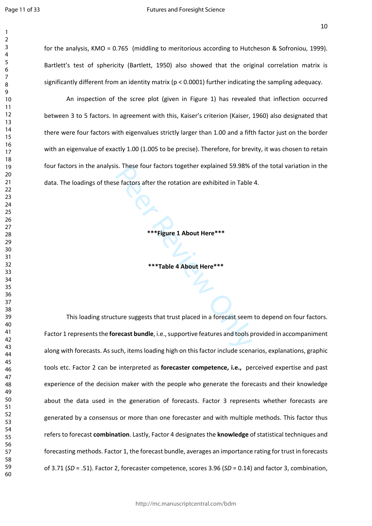$\mathbf{1}$ 

for the analysis, KMO = 0.765 (middling to meritorious according to Hutcheson & Sofroniou, 1999). Bartlett's test of sphericity (Bartlett, 1950) also showed that the original correlation matrix is significantly different from an identity matrix (p < 0.0001) further indicating the sampling adequacy.

An inspection of the scree plot (given in Figure 1) has revealed that inflection occurred between 3 to 5 factors. In agreement with this, Kaiser's criterion (Kaiser, 1960) also designated that there were four factors with eigenvalues strictly larger than 1.00 and a fifth factor just on the border with an eigenvalue of exactly 1.00 (1.005 to be precise). Therefore, for brevity, it was chosen to retain four factors in the analysis. These four factors together explained 59.98% of the total variation in the data. The loadings of these factors after the rotation are exhibited in Table 4.

**\*\*\*Figure 1 About Here\*\*\***

**\*\*\*Table 4 About Here\*\*\***

s. These four factors together explained 59.98%<br>
e factors after the rotation are exhibited in Table<br>
\*\*\*Figure 1 About Here\*\*\*<br>
\*\*\*Table 4 About Here\*\*\*<br>
ture suggests that trust placed in a forecast seem<br>
recast bundle, This loading structure suggests that trust placed in a forecast seem to depend on four factors. Factor 1 represents the **forecast bundle**, i.e., supportive features and tools provided in accompaniment along with forecasts. As such, items loading high on this factor include scenarios, explanations, graphic tools etc. Factor 2 can be interpreted as **forecaster competence, i.e.,** perceived expertise and past experience of the decision maker with the people who generate the forecasts and their knowledge about the data used in the generation of forecasts. Factor 3 represents whether forecasts are generated by a consensus or more than one forecaster and with multiple methods. This factor thus refers to forecast **combination**. Lastly, Factor 4 designates the **knowledge** of statistical techniques and forecasting methods. Factor 1, the forecast bundle, averages an importance rating for trust in forecasts of 3.71 (*SD* = .51). Factor 2, forecaster competence, scores 3.96 (*SD* = 0.14) and factor 3, combination,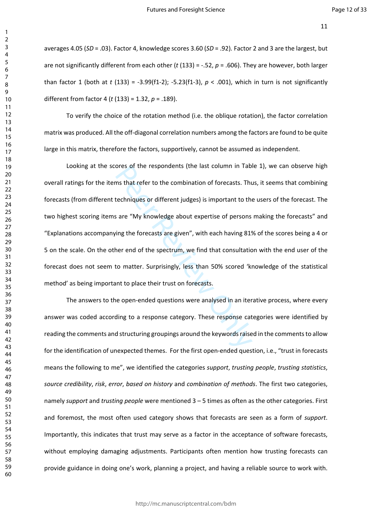averages 4.05 (*SD* = .03). Factor 4, knowledge scores 3.60 (*SD* = .92)*.* Factor 2 and 3 are the largest, but are not significantly different from each other (*t* (133) = -.52, *p* = .606). They are however, both larger than factor 1 (both at *t* (133) = -3.99(f1-2); -5.23(f1-3), *p* < .001), which in turn is not significantly different from factor 4 (*t* (133) = 1.32, *p* = .189).

To verify the choice of the rotation method (i.e. the oblique rotation), the factor correlation matrix was produced. All the off-diagonal correlation numbers among the factors are found to be quite large in this matrix, therefore the factors, supportively, cannot be assumed as independent.

ores or the respondents (the last column in Tabi<br>ms that refer to the combination of forecasts. The<br>techniques or different judges) is important to the<br>sare "My knowledge about expertise of persons<br>sing the forecasts are g Looking at the scores of the respondents (the last column in Table 1), we can observe high overall ratings for the items that refer to the combination of forecasts. Thus, it seems that combining forecasts (from different techniques or different judges) is important to the users of the forecast. The two highest scoring items are "My knowledge about expertise of persons making the forecasts" and "Explanations accompanying the forecasts are given", with each having 81% of the scores being a 4 or 5 on the scale. On the other end of the spectrum, we find that consultation with the end user of the forecast does not seem to matter. Surprisingly, less than 50% scored 'knowledge of the statistical method' as being important to place their trust on forecasts.

The answers to the open-ended questions were analysed in an iterative process, where every answer was coded according to a response category. These response categories were identified by reading the comments and structuring groupings around the keywords raised in the comments to allow for the identification of unexpected themes. For the first open-ended question, i.e., "trust in forecasts means the following to me", we identified the categories *support*, *trusting people*, *trusting statistics*, *source credibility*, *risk*, *error*, *based on history* and *combination of methods*. The first two categories, namely *support* and *trusting people* were mentioned 3 – 5 times as often as the other categories. First and foremost, the most often used category shows that forecasts are seen as a form of *support*. Importantly, this indicates that trust may serve as a factor in the acceptance of software forecasts, without employing damaging adjustments. Participants often mention how trusting forecasts can provide guidance in doing one's work, planning a project, and having a reliable source to work with.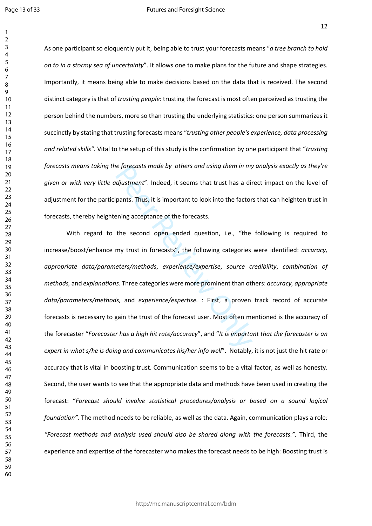$\mathbf{1}$ 

As one participant so eloquently put it, being able to trust your forecasts means "*a tree branch to hold on to in a stormy sea of uncertainty*". It allows one to make plans for the future and shape strategies. Importantly, it means being able to make decisions based on the data that is received. The second distinct category is that of *trusting people*: trusting the forecast is most often perceived as trusting the person behind the numbers, more so than trusting the underlying statistics: one person summarizes it succinctly by stating that trusting forecasts means "*trusting other people's experience, data processing and related skills".* Vital to the setup of this study is the confirmation by one participant that "*trusting forecasts means taking the forecasts made by others and using them in my analysis exactly as they're given or with very little adjustment*". Indeed, it seems that trust has a direct impact on the level of adjustment for the participants. Thus, it is important to look into the factors that can heighten trust in forecasts, thereby heightening acceptance of the forecasts.

represents made by others and using them in my<br>djustment". Indeed, it seems that trust has a direction<br>pants. Thus, it is important to look into the factor<br>ening acceptance of the forecasts.<br>the second open ended question, With regard to the second open ended question, i.e., "the following is required to increase/boost/enhance my trust in forecasts", the following categories were identified: *accuracy, appropriate data/parameters/methods*, *experience/expertise*, *source credibility*, *combination of methods,* and *explanations.* Three categories were more prominent than others: *accuracy, appropriate data/parameters/methods,* and *experience/expertise.* : First, a proven track record of accurate forecasts is necessary to gain the trust of the forecast user. Most often mentioned is the accuracy of the forecaster "*Forecaster has a high hit rate/accuracy*", and "*It is important that the forecaster is an expert in what s/he is doing and communicates his/her info well*". Notably, it is not just the hit rate or accuracy that is vital in boosting trust. Communication seems to be a vital factor, as well as honesty. Second, the user wants to see that the appropriate data and methods have been used in creating the forecast: "*Forecast should involve statistical procedures/analysis or based on a sound logical foundation".* The method needs to be reliable, as well as the data. Again, communication plays a role*: "Forecast methods and analysis used should also be shared along with the forecasts.".* Third, the experience and expertise of the forecaster who makes the forecast needs to be high: Boosting trust is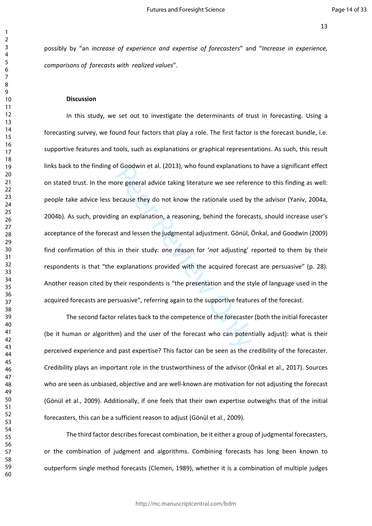possibly by "an *increase of experience and expertise of forecasters*" and "*Increase in experience, comparisons of forecasts with realized values*".

#### **Discussion**

or Goodwin et al. (2013), who round explanations<br>pre general advice taking literature we see refere<br>ecause they do not know the rationale used by<br>g an explanation, a reasoning, behind the foreca<br>it and lessen the judgmenta In this study, we set out to investigate the determinants of trust in forecasting. Using a forecasting survey, we found four factors that play a role. The first factor is the forecast bundle, i.e. supportive features and tools, such as explanations or graphical representations. As such, this result links back to the finding of Goodwin et al. (2013), who found explanations to have a significant effect on stated trust. In the more general advice taking literature we see reference to this finding as well: people take advice less because they do not know the rationale used by the advisor (Yaniv, 2004a, 2004b). As such, providing an explanation, a reasoning, behind the forecasts, should increase user's acceptance of the forecast and lessen the judgmental adjustment. Gönül, Önkal, and Goodwin (2009) find confirmation of this in their study: one reason for '*not* adjusting' reported to them by their respondents is that "the explanations provided with the acquired forecast are persuasive" (p. 28). Another reason cited by their respondents is "the presentation and the style of language used in the acquired forecasts are persuasive", referring again to the supportive features of the forecast.

The second factor relates back to the competence of the forecaster (both the initial forecaster (be it human or algorithm) and the user of the forecast who can potentially adjust): what is their perceived experience and past expertise? This factor can be seen as the credibility of the forecaster. Credibility plays an important role in the trustworthiness of the advisor (Önkal et al., 2017). Sources who are seen as unbiased, objective and are well-known are motivation for not adjusting the forecast (Gönül et al., 2009). Additionally, if one feels that their own expertise outweighs that of the initial forecasters, this can be a sufficient reason to adjust (Gönül et al., 2009).

The third factor describes forecast combination, be it either a group of judgmental forecasters, or the combination of judgment and algorithms. Combining forecasts has long been known to outperform single method forecasts (Clemen, 1989), whether it is a combination of multiple judges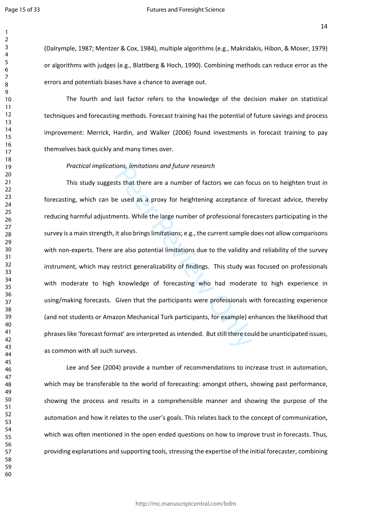(Dalrymple, 1987; Mentzer & Cox, 1984), multiple algorithms (e.g., Makridakis, Hibon, & Moser, 1979) or algorithms with judges (e.g., Blattberg & Hoch, 1990). Combining methods can reduce error as the errors and potentials biases have a chance to average out.

The fourth and last factor refers to the knowledge of the decision maker on statistical techniques and forecasting methods. Forecast training has the potential of future savings and process improvement: Merrick, Hardin, and Walker (2006) found investments in forecast training to pay themselves back quickly and many times over.

*Practical implications, limitations and future research* 

From the state and puture research<br>ts that there are a number of factors we can fore<br>e used as a proxy for heightening acceptance c<br>ents. While the large number of professional fore<br>it also brings limitations; e.g., the cu This study suggests that there are a number of factors we can focus on to heighten trust in forecasting, which can be used as a proxy for heightening acceptance of forecast advice, thereby reducing harmful adjustments. While the large number of professional forecasters participating in the survey is a main strength, it also brings limitations; e.g., the current sample does not allow comparisons with non-experts. There are also potential limitations due to the validity and reliability of the survey instrument, which may restrict generalizability of findings. This study was focused on professionals with moderate to high knowledge of forecasting who had moderate to high experience in using/making forecasts. Given that the participants were professionals with forecasting experience (and not students or Amazon Mechanical Turk participants, for example) enhances the likelihood that phrases like 'forecast format' are interpreted as intended. But still there could be unanticipated issues, as common with all such surveys.

Lee and See (2004) provide a number of recommendations to increase trust in automation, which may be transferable to the world of forecasting: amongst others, showing past performance, showing the process and results in a comprehensible manner and showing the purpose of the automation and how it relates to the user's goals. This relates back to the concept of communication, which was often mentioned in the open ended questions on how to improve trust in forecasts. Thus, providing explanations and supporting tools, stressing the expertise of the initial forecaster, combining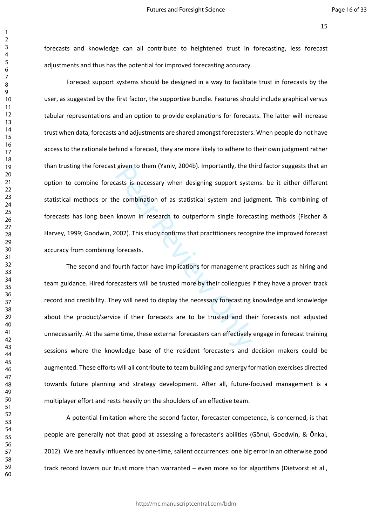forecasts and knowledge can all contribute to heightened trust in forecasting, less forecast adjustments and thus has the potential for improved forecasting accuracy.

Forecast support systems should be designed in a way to facilitate trust in forecasts by the user, as suggested by the first factor, the supportive bundle. Features should include graphical versus tabular representations and an option to provide explanations for forecasts. The latter will increase trust when data, forecasts and adjustments are shared amongst forecasters. When people do not have access to the rationale behind a forecast, they are more likely to adhere to their own judgment rather than trusting the forecast given to them (Yaniv, 2004b). Importantly, the third factor suggests that an option to combine forecasts is necessary when designing support systems: be it either different statistical methods or the combination of as statistical system and judgment. This combining of forecasts has long been known in research to outperform single forecasting methods (Fischer & Harvey, 1999; Goodwin, 2002). This study confirms that practitioners recognize the improved forecast accuracy from combining forecasts.

given to them (Yaniv, 2004b). Importantly, the trasts is necessary when designing support system<br>asts is necessary when designing support system<br>e combination of as statistical system and jud<br>known in research to outperfor The second and fourth factor have implications for management practices such as hiring and team guidance. Hired forecasters will be trusted more by their colleagues if they have a proven track record and credibility. They will need to display the necessary forecasting knowledge and knowledge about the product/service if their forecasts are to be trusted and their forecasts not adjusted unnecessarily. At the same time, these external forecasters can effectively engage in forecast training sessions where the knowledge base of the resident forecasters and decision makers could be augmented. These efforts will all contribute to team building and synergy formation exercises directed towards future planning and strategy development. After all, future-focused management is a multiplayer effort and rests heavily on the shoulders of an effective team.

A potential limitation where the second factor, forecaster competence, is concerned, is that people are generally not that good at assessing a forecaster's abilities (Gönul, Goodwin, & Önkal, 2012). We are heavily influenced by one-time, salient occurrences: one big error in an otherwise good track record lowers our trust more than warranted – even more so for algorithms (Dietvorst et al.,

 $\mathbf{1}$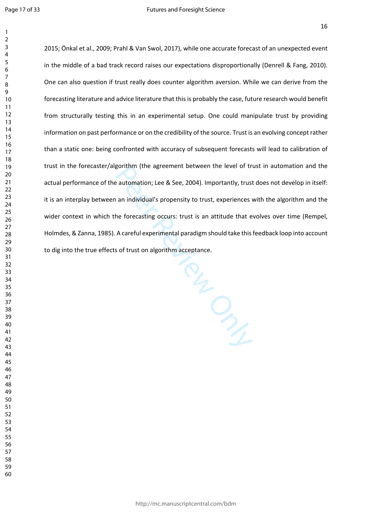$\mathbf{1}$ 

2015; Önkal et al., 2009; Prahl & Van Swol, 2017), while one accurate forecast of an unexpected event in the middle of a bad track record raises our expectations disproportionally (Denrell & Fang, 2010). One can also question if trust really does counter algorithm aversion. While we can derive from the forecasting literature and advice literature that this is probably the case, future research would benefit from structurally testing this in an experimental setup. One could manipulate trust by providing information on past performance or on the credibility of the source. Trust is an evolving concept rather than a static one: being confronted with accuracy of subsequent forecasts will lead to calibration of trust in the forecaster/algorithm (the agreement between the level of trust in automation and the actual performance of the automation; Lee & See, 2004). Importantly, trust does not develop in itself: it is an interplay between an individual's propensity to trust, experiences with the algorithm and the wider context in which the forecasting occurs: trust is an attitude that evolves over time (Rempel, Holmdes, & Zanna, 1985). A careful experimental paradigm should take this feedback loop into account to dig into the true effects of trust on algorithm acceptance.

Puedes Review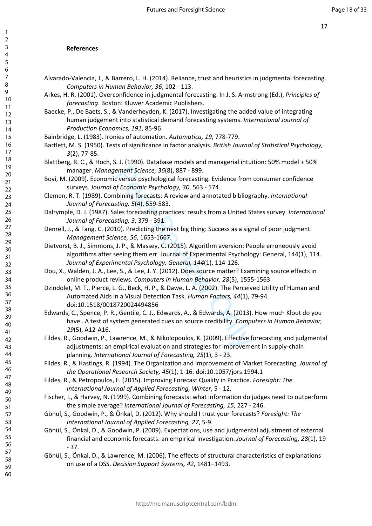# **References**

- Alvarado-Valencia, J., & Barrero, L. H. (2014). Reliance, trust and heuristics in judgmental forecasting. *Computers in Human Behavior, 36*, 102 - 113.
- Arkes, H. R. (2001). Overconfidence in judgmental forecasting. In J. S. Armstrong (Ed.), *Principles of forecasting*. Boston: Kluwer Academic Publishers.
- Baecke, P., De Baets, S., & Vanderheyden, K. (2017). Investigating the added value of integrating human judgement into statistical demand forecasting systems. *International Journal of Production Economics, 191*, 85-96.
- Bainbridge, L. (1983). Ironies of automation. *Automatica, 19*, 778-779.
- Bartlett, M. S. (1950). Tests of significance in factor analysis. *British Journal of Statistical Psychology, 3*(2), 77-85.
- Blattberg, R. C., & Hoch, S. J. (1990). Database models and managerial intuition: 50% model + 50% manager. *Management Science, 36*(8), 887 - 899.
- Bovi, M. (2009). Economic versus psychological forecasting. Evidence from consumer confidence surveys. *Journal of Economic Psychology, 30*, 563 - 574.
- Clemen, R. T. (1989). Combining forecasts: A review and annotated bibliography. *International Journal of Forecasting, 5*(4), 559-583.
- Dalrymple, D. J. (1987). Sales forecasting practices: results from a United States survey. *International Journal of Forecasting, 3*, 379 - 391.
- Denrell, J., & Fang, C. (2010). Predicting the next big thing: Success as a signal of poor judgment. *Management Science, 56*, 1653-1667.
- Dietvorst, B. J., Simmons, J. P., & Massey, C. (2015). Algorithm aversion: People erroneously avoid algorithms after seeing them err. Journal of Experimental Psychology: General, 144(1), 114. *Journal of Experimental Psychology: General, 144*(1), 114-126.
- Dou, X., Walden, J. A., Lee, S., & Lee, J. Y. (2012). Does source matter? Examining source effects in online product reviews. *Computers in Human Behavior, 28*(5), 1555-1563.
- Dzindolet, M. T., Pierce, L. G., Beck, H. P., & Dawe, L. A. (2002). The Perceived Utility of Human and Automated Aids in a Visual Detection Task. *Human Factors, 44*(1), 79-94. doi:10.1518/0018720024494856
- ement Science, 36(8), 887 899.<br>
Corersus psychological forecasting. Evidence from<br>
of *Economic Psychology, 30*, 563 574.<br>
Iblining forecasts: A review and annotated bibliog<br>
sting, 5(4), 559-583.<br>
alles forecasting pr Edwards, C., Spence, P. R., Gentile, C. J., Edwards, A., & Edwards, A. (2013). How much Klout do you have…A test of system generated cues on source credibility. *Computers in Human Behavior, 29*(5), A12-A16.
- Fildes, R., Goodwin, P., Lawrence, M., & Nikolopoulos, K. (2009). Effective forecasting and judgmental adjustments: an empirical evaluation and strategies for improvement in supply-chain planning. *International Journal of Forecasting, 25*(1), 3 - 23.
- Fildes, R., & Hastings, R. (1994). The Organization and Improvement of Market Forecasting. *Journal of the Operational Research Society, 45*(1), 1-16. doi:10.1057/jors.1994.1
- Fildes, R., & Petropoulos, F. (2015). Improving Forecast Quality in Practice. *Foresight: The International Journal of Applied Forecasting, Winter*, 5 - 12.
- Fischer, I., & Harvey, N. (1999). Combining forecasts: what information do judges need to outperform the simple average? *International Journal of Forecasting, 15*, 227 - 246.
- Gönul, S., Goodwin, P., & Önkal, D. (2012). Why should I trust your forecasts? *Foresight: The International Journal of Applied Forecasting, 27*, 5-9.
- Gönül, S., Önkal, D., & Goodwin, P. (2009). Expectations, use and judgmental adjustment of external financial and economic forecasts: an empirical investigation. *Journal of Forecasting, 28*(1), 19 - 37.
- Gönül, S., Önkal, D., & Lawrence, M. (2006). The effects of structural characteristics of explanations on use of a DSS. *Decision Support Systems, 42*, 1481–1493.

123456789

 $\mathbf{1}$  $\overline{2}$  $\overline{3}$  $\overline{4}$ 5 6  $\overline{7}$ 8 9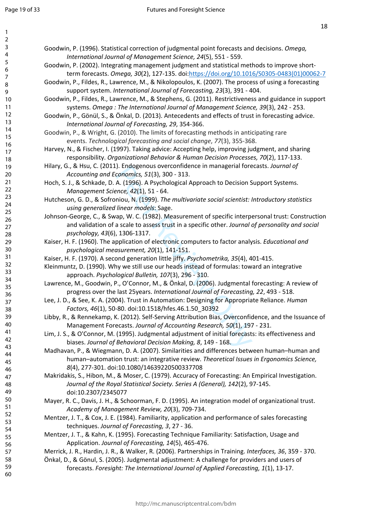$\mathbf{1}$  $\overline{2}$  $\overline{3}$  $\overline{4}$ 5 6  $\overline{7}$ 8  $\overline{9}$ 

| Goodwin, P. (1996). Statistical correction of judgmental point forecasts and decisions. Omega,<br>International Journal of Management Science, 24(5), 551 - 559.                                         |  |
|----------------------------------------------------------------------------------------------------------------------------------------------------------------------------------------------------------|--|
| Goodwin, P. (2002). Integrating management judgment and statistical methods to improve short-                                                                                                            |  |
| term forecasts. Omega, 30(2), 127-135. doi:https://doi.org/10.1016/S0305-0483(01)00062-7                                                                                                                 |  |
| Goodwin, P., Fildes, R., Lawrence, M., & Nikolopoulos, K. (2007). The process of using a forecasting<br>support system. International Journal of Forecasting, 23(3), 391 - 404.                          |  |
| Goodwin, P., Fildes, R., Lawrence, M., & Stephens, G. (2011). Restrictiveness and guidance in support<br>systems. Omega: The International Journal of Management Science, 39(3), 242 - 253.              |  |
| Goodwin, P., Gönül, S., & Önkal, D. (2013). Antecedents and effects of trust in forecasting advice.<br>International Journal of Forecasting, 29, 354-366.                                                |  |
| Goodwin, P., & Wright, G. (2010). The limits of forecasting methods in anticipating rare                                                                                                                 |  |
| events. Technological forecasting and social change, 77(3), 355-368.                                                                                                                                     |  |
| Harvey, N., & Fischer, I. (1997). Taking advice: Accepting help, improving judgment, and sharing                                                                                                         |  |
| responsibility. Organizational Behavior & Human Decision Processes, 70(2), 117-133.                                                                                                                      |  |
| Hilary, G., & Hsu, C. (2011). Endogenous overconfidence in managerial forecasts. Journal of                                                                                                              |  |
| Accounting and Economics, 51(3), 300 - 313.                                                                                                                                                              |  |
| Hoch, S. J., & Schkade, D. A. (1996). A Psychological Approach to Decision Support Systems.                                                                                                              |  |
| Management Science, 42(1), 51 - 64.                                                                                                                                                                      |  |
| Hutcheson, G. D., & Sofroniou, N. (1999). The multivariate social scientist: Introductory statistics                                                                                                     |  |
| using generalized linear models: Sage.                                                                                                                                                                   |  |
| Johnson-George, C., & Swap, W. C. (1982). Measurement of specific interpersonal trust: Construction                                                                                                      |  |
| and validation of a scale to assess trust in a specific other. Journal of personality and social                                                                                                         |  |
| psychology, 43(6), 1306-1317.<br>Kaiser, H. F. (1960). The application of electronic computers to factor analysis. Educational and                                                                       |  |
| psychological measurement, 20(1), 141-151.                                                                                                                                                               |  |
| Kaiser, H. F. (1970). A second generation little jiffy. Psychometrika, 35(4), 401-415.                                                                                                                   |  |
| Kleinmuntz, D. (1990). Why we still use our heads instead of formulas: toward an integrative                                                                                                             |  |
| approach. Psychological Bulletin, 107(3), 296 - 310.                                                                                                                                                     |  |
| Lawrence, M., Goodwin, P., O'Connor, M., & Önkal, D. (2006). Judgmental forecasting: A review of                                                                                                         |  |
| progress over the last 25years. International Journal of Forecasting, 22, 493 - 518.                                                                                                                     |  |
| Lee, J. D., & See, K. A. (2004). Trust in Automation: Designing for Appropriate Reliance. Human<br>Factors, 46(1), 50-80. doi:10.1518/hfes.46.1.50_30392                                                 |  |
| Libby, R., & Rennekamp, K. (2012). Self-Serving Attribution Bias, Overconfidence, and the Issuance of<br>Management Forecasts. Journal of Accounting Research, 50(1), 197 - 231.                         |  |
| Lim, J. S., & O'Connor, M. (1995). Judgmental adjustment of initial forecasts: its effectiveness and                                                                                                     |  |
| biases. Journal of Behavioral Decision Making, 8, 149 - 168.                                                                                                                                             |  |
| Madhavan, P., & Wiegmann, D. A. (2007). Similarities and differences between human-human and                                                                                                             |  |
| human-automation trust: an integrative review. Theoretical Issues in Ergonomics Science,                                                                                                                 |  |
| 8(4), 277-301. doi:10.1080/14639220500337708                                                                                                                                                             |  |
| Makridakis, S., Hibon, M., & Moser, C. (1979). Accuracy of Forecasting: An Empirical Investigation.                                                                                                      |  |
| Journal of the Royal Statistical Society. Series A (General), 142(2), 97-145.<br>doi:10.2307/2345077                                                                                                     |  |
| Mayer, R. C., Davis, J. H., & Schoorman, F. D. (1995). An integration model of organizational trust.<br>Academy of Management Review, 20(3), 709-734.                                                    |  |
| Mentzer, J. T., & Cox, J. E. (1984). Familiarity, application and performance of sales forecasting<br>techniques. Journal of Forecasting, 3, 27 - 36.                                                    |  |
| Mentzer, J. T., & Kahn, K. (1995). Forecasting Technique Familiarity: Satisfaction, Usage and<br>Application. Journal of Forecasting, 14(5), 465-476.                                                    |  |
|                                                                                                                                                                                                          |  |
|                                                                                                                                                                                                          |  |
| Merrick, J. R., Hardin, J. R., & Walker, R. (2006). Partnerships in Training. Interfaces, 36, 359 - 370.<br>Önkal, D., & Gönul, S. (2005). Judgmental adjustment: A challenge for providers and users of |  |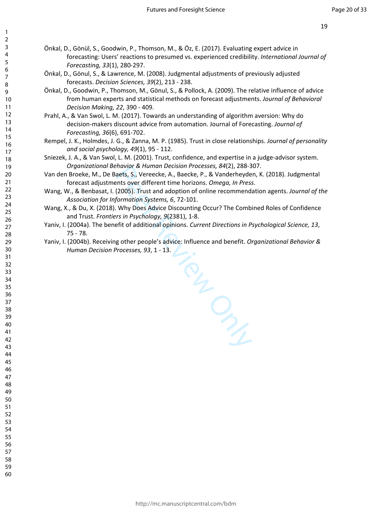- Önkal, D., Gönül, S., Goodwin, P., Thomson, M., & Öz, E. (2017). Evaluating expert advice in forecasting: Users' reactions to presumed vs. experienced credibility. *International Journal of Forecasting, 33*(1), 280-297.
- Önkal, D., Gönul, S., & Lawrence, M. (2008). Judgmental adjustments of previously adjusted forecasts. *Decision Sciences, 39*(2), 213 - 238.
- Önkal, D., Goodwin, P., Thomson, M., Gönul, S., & Pollock, A. (2009). The relative influence of advice from human experts and statistical methods on forecast adjustments. *Journal of Behavioral Decision Making, 22*, 390 - 409.
- Prahl, A., & Van Swol, L. M. (2017). Towards an understanding of algorithm aversion: Why do decision-makers discount advice from automation. Journal of Forecasting. *Journal of Forecasting, 36*(6), 691-702.
- Rempel, J. K., Holmdes, J. G., & Zanna, M. P. (1985). Trust in close relationships. *Journal of personality and social psychology, 49*(1), 95 - 112.
- Sniezek, J. A., & Van Swol, L. M. (2001). Trust, confidence, and expertise in a judge-advisor system. *Organizational Behavior & Human Decision Processes, 84*(2), 288-307.
- Van den Broeke, M., De Baets, S., Vereecke, A., Baecke, P., & Vanderheyden, K. (2018). Judgmental forecast adjustments over different time horizons. *Omega, In Press* .
- Wang, W., & Benbasat, I. (2005). Trust and adoption of online recommendation agents. *Journal of the Association for Information Systems, 6*, 72-101.
- Wang, X., & Du, X. (2018). Why Does Advice Discounting Occur? The Combined Roles of Confidence and Trust. *Frontiers in Psychology, 9*(2381), 1-8.
- Yaniv, I. (2004a). The benefit of additional opinions. *Current Directions in Psychological Science, 13*, 75 - 78.
- Yaniv, I. (2004b). Receiving other people's advice: Influence and benefit. *Organizational Behavior & Human Decision Processes, 93*, 1 - 13.

Peer Review Only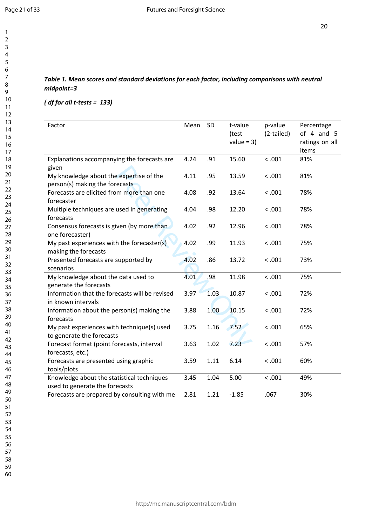$\mathbf{1}$  $\overline{2}$  $\overline{3}$  $\overline{4}$ 5 6  $\overline{7}$ 8  $\overline{9}$ 

#### *( df for all t-tests = 133)*

| Factor                                                                       | Mean | <b>SD</b> | t-value<br>(test<br>value = $3)$ | p-value<br>(2-tailed) | Percentage<br>of $4$ and $5$<br>ratings on all<br>items |
|------------------------------------------------------------------------------|------|-----------|----------------------------------|-----------------------|---------------------------------------------------------|
| Explanations accompanying the forecasts are<br>given                         | 4.24 | .91       | 15.60                            | < .001                | 81%                                                     |
| My knowledge about the expertise of the<br>person(s) making the forecasts    | 4.11 | .95       | 13.59                            | < .001                | 81%                                                     |
| Forecasts are elicited from more than one<br>forecaster                      | 4.08 | .92       | 13.64                            | < .001                | 78%                                                     |
| Multiple techniques are used in generating<br>forecasts                      | 4.04 | .98       | 12.20                            | < .001                | 78%                                                     |
| Consensus forecasts is given (by more than<br>one forecaster)                | 4.02 | .92       | 12.96                            | < .001                | 78%                                                     |
| My past experiences with the forecaster(s)<br>making the forecasts           | 4.02 | .99       | 11.93                            | < .001                | 75%                                                     |
| Presented forecasts are supported by<br>scenarios                            | 4.02 | .86       | 13.72                            | < .001                | 73%                                                     |
| My knowledge about the data used to<br>generate the forecasts                | 4.01 | .98       | 11.98                            | < .001                | 75%                                                     |
| Information that the forecasts will be revised<br>in known intervals         | 3.97 | 1.03      | 10.87                            | < .001                | 72%                                                     |
| Information about the person(s) making the<br>forecasts                      | 3.88 | 1.00      | 10.15                            | < .001                | 72%                                                     |
| My past experiences with technique(s) used<br>to generate the forecasts      | 3.75 | 1.16      | 7.52                             | < .001                | 65%                                                     |
| Forecast format (point forecasts, interval<br>forecasts, etc.)               | 3.63 | 1.02      | 7.23                             | < .001                | 57%                                                     |
| Forecasts are presented using graphic<br>tools/plots                         | 3.59 | 1.11      | 6.14                             | < .001                | 60%                                                     |
| Knowledge about the statistical techniques<br>used to generate the forecasts | 3.45 | 1.04      | 5.00                             | < .001                | 49%                                                     |
| Forecasts are prepared by consulting with me                                 | 2.81 | 1.21      | $-1.85$                          | .067                  | 30%                                                     |

- 55 56
- 57
- 58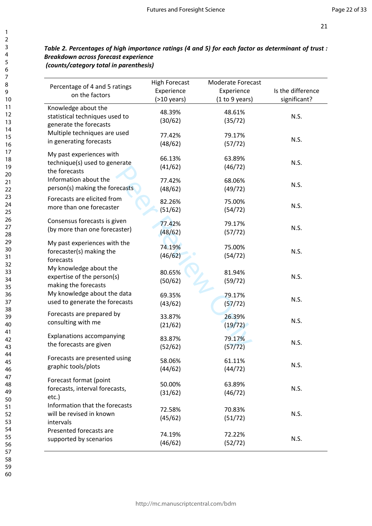### *Table 2. Percentages of high importance ratings (4 and 5) for each factor as determinant of trust : Breakdown across forecast experience (counts/category total in parenthesis)*

| Percentage of 4 and 5 ratings<br>on the factors                                 | <b>High Forecast</b><br>Experience<br>$(>10$ years) | <b>Moderate Forecast</b><br>Experience<br>(1 to 9 years) | Is the difference<br>significant? |
|---------------------------------------------------------------------------------|-----------------------------------------------------|----------------------------------------------------------|-----------------------------------|
| Knowledge about the<br>statistical techniques used to<br>generate the forecasts | 48.39%<br>(30/62)                                   | 48.61%<br>(35/72)                                        | N.S.                              |
| Multiple techniques are used                                                    | 77.42%                                              | 79.17%                                                   | N.S.                              |
| in generating forecasts                                                         | (48/62)                                             | (57/72)                                                  |                                   |
| My past experiences with<br>technique(s) used to generate<br>the forecasts      | 66.13%<br>(41/62)                                   | 63.89%<br>(46/72)                                        | N.S.                              |
| Information about the                                                           | 77.42%                                              | 68.06%                                                   | N.S.                              |
| person(s) making the forecasts                                                  | (48/62)                                             | (49/72)                                                  |                                   |
| Forecasts are elicited from                                                     | 82.26%                                              | 75.00%                                                   | N.S.                              |
| more than one forecaster                                                        | (51/62)                                             | (54/72)                                                  |                                   |
| Consensus forecasts is given                                                    | 77.42%                                              | 79.17%                                                   | N.S.                              |
| (by more than one forecaster)                                                   | (48/62)                                             | (57/72)                                                  |                                   |
| My past experiences with the<br>forecaster(s) making the<br>forecasts           | 74.19%<br>(46/62)                                   | 75.00%<br>(54/72)                                        | N.S.                              |
| My knowledge about the<br>expertise of the person(s)<br>making the forecasts    | 80.65%<br>(50/62)                                   | 81.94%<br>(59/72)                                        | N.S.                              |
| My knowledge about the data                                                     | 69.35%                                              | 79.17%                                                   | N.S.                              |
| used to generate the forecasts                                                  | (43/62)                                             | (57/72)                                                  |                                   |
| Forecasts are prepared by                                                       | 33.87%                                              | 26.39%                                                   | N.S.                              |
| consulting with me                                                              | (21/62)                                             | (19/72)                                                  |                                   |
| Explanations accompanying                                                       | 83.87%                                              | 79.17%                                                   | N.S.                              |
| the forecasts are given                                                         | (52/62)                                             | (57/72)                                                  |                                   |
| Forecasts are presented using                                                   | 58.06%                                              | 61.11%                                                   | N.S.                              |
| graphic tools/plots                                                             | (44/62)                                             | (44/72)                                                  |                                   |
| Forecast format (point<br>forecasts, interval forecasts,<br>etc.)               | 50.00%<br>(31/62)                                   | 63.89%<br>(46/72)                                        | N.S.                              |
| Information that the forecasts<br>will be revised in known<br>intervals         | 72.58%<br>(45/62)                                   | 70.83%<br>(51/72)                                        | N.S.                              |
| Presented forecasts are                                                         | 74.19%                                              | 72.22%                                                   | N.S.                              |
| supported by scenarios                                                          | (46/62)                                             | (52/72)                                                  |                                   |

58 59 60

123456789

8 9

 $\mathbf{1}$  $\overline{2}$  $\overline{3}$  $\overline{4}$ 5 6  $\overline{7}$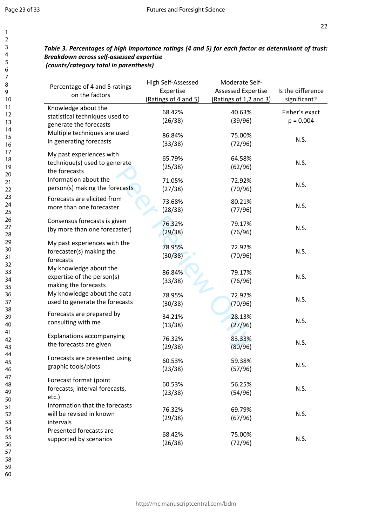$\mathbf{1}$  $\overline{2}$ 3  $\overline{4}$ 5 6  $\overline{7}$ 8 9

### *Table 3. Percentages of high importance ratings (4 and 5) for each factor as determinant of trust: Breakdown across self-assessed expertise (counts/category total in parenthesis)*

| Percentage of 4 and 5 ratings<br>on the factors                                 | High Self-Assessed<br>Expertise<br>(Ratings of 4 and 5) | Moderate Self-<br><b>Assessed Expertise</b><br>(Ratings of 1,2 and 3) | Is the difference<br>significant? |
|---------------------------------------------------------------------------------|---------------------------------------------------------|-----------------------------------------------------------------------|-----------------------------------|
| Knowledge about the<br>statistical techniques used to<br>generate the forecasts | 68.42%<br>(26/38)                                       | 40.63%<br>(39/96)                                                     | Fisher's exact<br>$p = 0.004$     |
| Multiple techniques are used                                                    | 86.84%                                                  | 75.00%                                                                | N.S.                              |
| in generating forecasts                                                         | (33/38)                                                 | (72/96)                                                               |                                   |
| My past experiences with<br>technique(s) used to generate<br>the forecasts      | 65.79%<br>(25/38)                                       | 64.58%<br>(62/96)                                                     | N.S.                              |
| Information about the                                                           | 71.05%                                                  | 72.92%                                                                | N.S.                              |
| person(s) making the forecasts                                                  | (27/38)                                                 | (70/96)                                                               |                                   |
| Forecasts are elicited from                                                     | 73.68%                                                  | 80.21%                                                                | N.S.                              |
| more than one forecaster                                                        | (28/38)                                                 | (77/96)                                                               |                                   |
| Consensus forecasts is given                                                    | 76.32%                                                  | 79.17%                                                                | N.S.                              |
| (by more than one forecaster)                                                   | (29/38)                                                 | (76/96)                                                               |                                   |
| My past experiences with the<br>forecaster(s) making the<br>forecasts           | 78.95%<br>(30/38)                                       | 72.92%<br>(70/96)                                                     | N.S.                              |
| My knowledge about the<br>expertise of the person(s)<br>making the forecasts    | 86.84%<br>(33/38)                                       | 79.17%<br>(76/96)                                                     | N.S.                              |
| My knowledge about the data                                                     | 78.95%                                                  | 72.92%                                                                | N.S.                              |
| used to generate the forecasts                                                  | (30/38)                                                 | (70/96)                                                               |                                   |
| Forecasts are prepared by                                                       | 34.21%                                                  | 28.13%                                                                | N.S.                              |
| consulting with me                                                              | (13/38)                                                 | (27/96)                                                               |                                   |
| <b>Explanations accompanying</b>                                                | 76.32%                                                  | 83.33%                                                                | N.S.                              |
| the forecasts are given                                                         | (29/38)                                                 | (80/96)                                                               |                                   |
| Forecasts are presented using                                                   | 60.53%                                                  | 59.38%                                                                | N.S.                              |
| graphic tools/plots                                                             | (23/38)                                                 | (57/96)                                                               |                                   |
| Forecast format (point<br>forecasts, interval forecasts,<br>etc.)               | 60.53%<br>(23/38)                                       | 56.25%<br>(54/96)                                                     | N.S.                              |
| Information that the forecasts<br>will be revised in known<br>intervals         | 76.32%<br>(29/38)                                       | 69.79%<br>(67/96)                                                     | N.S.                              |
| Presented forecasts are                                                         | 68.42%                                                  | 75.00%                                                                | N.S.                              |
| supported by scenarios                                                          | (26/38)                                                 | (72/96)                                                               |                                   |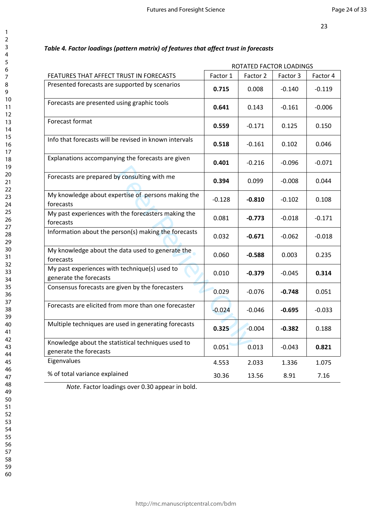|                                                                              | ROTATED FACTOR LOADINGS |          |          |          |
|------------------------------------------------------------------------------|-------------------------|----------|----------|----------|
| FEATURES THAT AFFECT TRUST IN FORECASTS                                      | Factor 1                | Factor 2 | Factor 3 | Factor 4 |
| Presented forecasts are supported by scenarios                               | 0.715                   | 0.008    | $-0.140$ | $-0.119$ |
| Forecasts are presented using graphic tools                                  | 0.641                   | 0.143    | $-0.161$ | $-0.006$ |
| Forecast format                                                              | 0.559                   | $-0.171$ | 0.125    | 0.150    |
| Info that forecasts will be revised in known intervals                       | 0.518                   | $-0.161$ | 0.102    | 0.046    |
| Explanations accompanying the forecasts are given                            | 0.401                   | $-0.216$ | $-0.096$ | $-0.071$ |
| Forecasts are prepared by consulting with me                                 | 0.394                   | 0.099    | $-0.008$ | 0.044    |
| My knowledge about expertise of persons making the<br>forecasts              | $-0.128$                | $-0.810$ | $-0.102$ | 0.108    |
| My past experiences with the forecasters making the<br>forecasts             | 0.081                   | $-0.773$ | $-0.018$ | $-0.171$ |
| Information about the person(s) making the forecasts                         | 0.032                   | $-0.671$ | $-0.062$ | $-0.018$ |
| My knowledge about the data used to generate the<br>forecasts                | 0.060                   | $-0.588$ | 0.003    | 0.235    |
| My past experiences with technique(s) used to<br>generate the forecasts      | 0.010                   | $-0.379$ | $-0.045$ | 0.314    |
| Consensus forecasts are given by the forecasters                             | 0.029                   | $-0.076$ | $-0.748$ | 0.051    |
| Forecasts are elicited from more than one forecaster                         | $-0.024$                | $-0.046$ | $-0.695$ | $-0.033$ |
| Multiple techniques are used in generating forecasts                         | 0.325                   | $-0.004$ | $-0.382$ | 0.188    |
| Knowledge about the statistical techniques used to<br>generate the forecasts | 0.051                   | 0.013    | $-0.043$ | 0.821    |
| Eigenvalues                                                                  | 4.553                   | 2.033    | 1.336    | 1.075    |
| % of total variance explained                                                | 30.36                   | 13.56    | 8.91     | 7.16     |

## *Table 4. Factor loadings (pattern matrix) of features that affect trust in forecasts*

*Note.* Factor loadings over 0.30 appear in bold.

 $\mathbf{1}$  $\overline{2}$  $\overline{3}$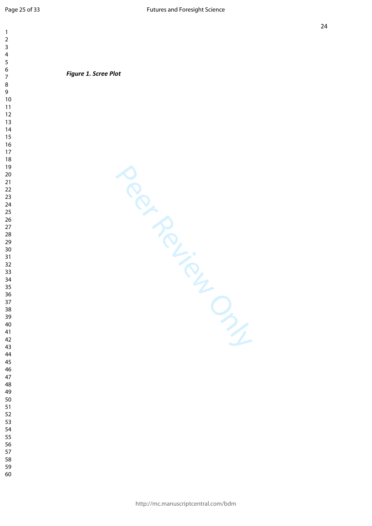$\mathbf{1}$  $\overline{2}$  $\overline{3}$  $\overline{4}$  $\overline{9}$ 

*Figure 1. Scree Plot*

Per Review Only

- 
- 
-